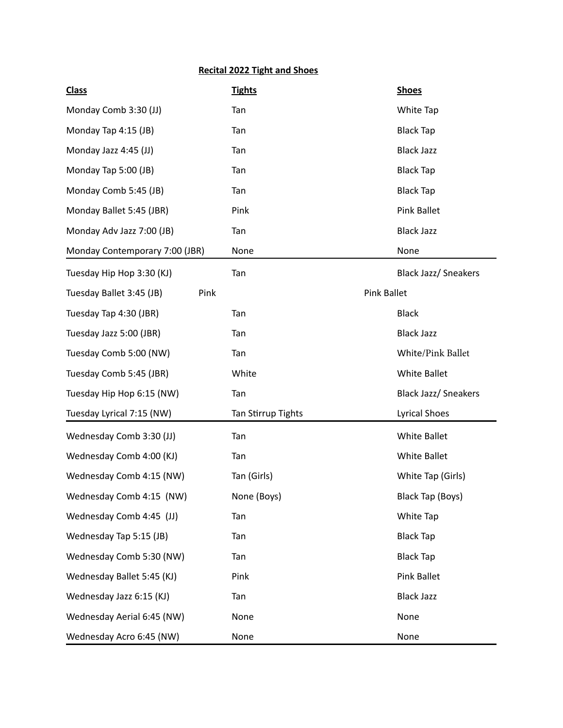## **Recital 2022 Tight and Shoes**

| <b>Class</b>                     | <b>Tights</b>      | <b>Shoes</b>                |
|----------------------------------|--------------------|-----------------------------|
| Monday Comb 3:30 (JJ)            | Tan                | White Tap                   |
| Monday Tap 4:15 (JB)             | Tan                | <b>Black Tap</b>            |
| Monday Jazz 4:45 (JJ)            | Tan                | <b>Black Jazz</b>           |
| Monday Tap 5:00 (JB)             | Tan                | <b>Black Tap</b>            |
| Monday Comb 5:45 (JB)            | Tan                | <b>Black Tap</b>            |
| Monday Ballet 5:45 (JBR)         | Pink               | <b>Pink Ballet</b>          |
| Monday Adv Jazz 7:00 (JB)        | Tan                | <b>Black Jazz</b>           |
| Monday Contemporary 7:00 (JBR)   | None               | None                        |
| Tuesday Hip Hop 3:30 (KJ)        | Tan                | <b>Black Jazz/ Sneakers</b> |
| Tuesday Ballet 3:45 (JB)<br>Pink | <b>Pink Ballet</b> |                             |
| Tuesday Tap 4:30 (JBR)           | Tan                | <b>Black</b>                |
| Tuesday Jazz 5:00 (JBR)          | Tan                | <b>Black Jazz</b>           |
| Tuesday Comb 5:00 (NW)           | Tan                | White/Pink Ballet           |
| Tuesday Comb 5:45 (JBR)          | White              | <b>White Ballet</b>         |
| Tuesday Hip Hop 6:15 (NW)        | Tan                | <b>Black Jazz/ Sneakers</b> |
| Tuesday Lyrical 7:15 (NW)        | Tan Stirrup Tights | <b>Lyrical Shoes</b>        |
| Wednesday Comb 3:30 (JJ)         | Tan                | <b>White Ballet</b>         |
| Wednesday Comb 4:00 (KJ)         | Tan                | <b>White Ballet</b>         |
| Wednesday Comb 4:15 (NW)         | Tan (Girls)        | White Tap (Girls)           |
| Wednesday Comb 4:15 (NW)         | None (Boys)        | Black Tap (Boys)            |
| Wednesday Comb 4:45 (JJ)         | Tan                | White Tap                   |
| Wednesday Tap 5:15 (JB)          | Tan                | <b>Black Tap</b>            |
| Wednesday Comb 5:30 (NW)         | Tan                | <b>Black Tap</b>            |
| Wednesday Ballet 5:45 (KJ)       | Pink               | <b>Pink Ballet</b>          |
| Wednesday Jazz 6:15 (KJ)         | Tan                | <b>Black Jazz</b>           |
| Wednesday Aerial 6:45 (NW)       | None               | None                        |
| Wednesday Acro 6:45 (NW)         | None               | None                        |